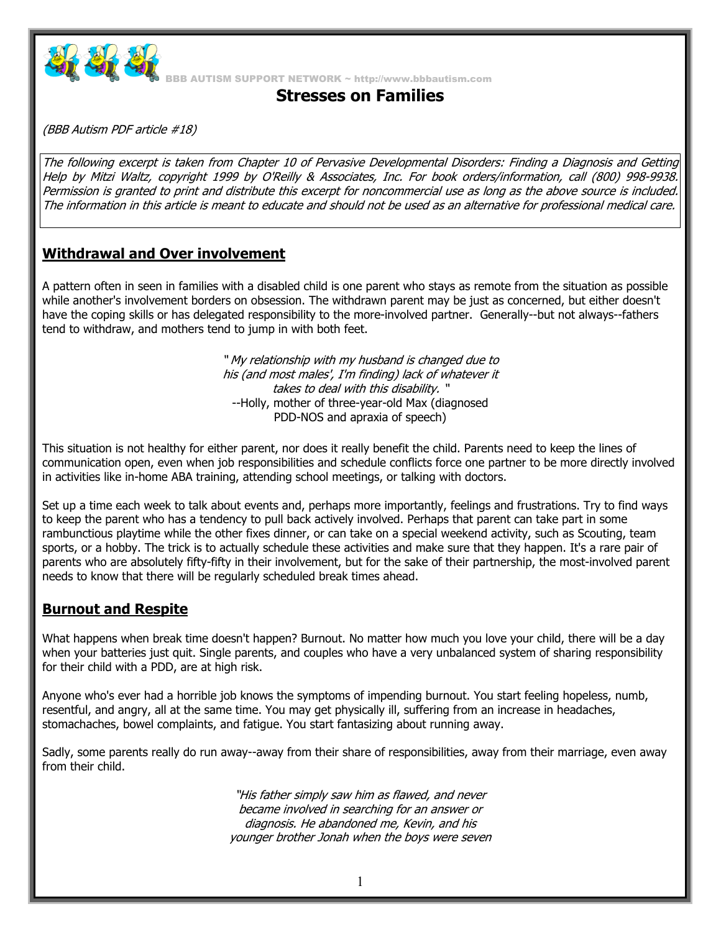

# **Stresses on Families**

(BBB Autism PDF article #18)

The following excerpt is taken from Chapter 10 of Pervasive Developmental Disorders: Finding a Diagnosis and Getting Help by Mitzi Waltz, copyright 1999 by O'Reilly & Associates, Inc. For book orders/information, call (800) 998-9938. Permission is granted to print and distribute this excerpt for noncommercial use as long as the above source is included. The information in this article is meant to educate and should not be used as an alternative for professional medical care.

## **Withdrawal and Over involvement**

A pattern often in seen in families with a disabled child is one parent who stays as remote from the situation as possible while another's involvement borders on obsession. The withdrawn parent may be just as concerned, but either doesn't have the coping skills or has delegated responsibility to the more-involved partner. Generally--but not always--fathers tend to withdraw, and mothers tend to jump in with both feet.

> " My relationship with my husband is changed due to his (and most males', I'm finding) lack of whatever it takes to deal with this disability. " --Holly, mother of three-year-old Max (diagnosed PDD-NOS and apraxia of speech)

This situation is not healthy for either parent, nor does it really benefit the child. Parents need to keep the lines of communication open, even when job responsibilities and schedule conflicts force one partner to be more directly involved in activities like in-home ABA training, attending school meetings, or talking with doctors.

Set up a time each week to talk about events and, perhaps more importantly, feelings and frustrations. Try to find ways to keep the parent who has a tendency to pull back actively involved. Perhaps that parent can take part in some rambunctious playtime while the other fixes dinner, or can take on a special weekend activity, such as Scouting, team sports, or a hobby. The trick is to actually schedule these activities and make sure that they happen. It's a rare pair of parents who are absolutely fifty-fifty in their involvement, but for the sake of their partnership, the most-involved parent needs to know that there will be regularly scheduled break times ahead.

### **Burnout and Respite**

What happens when break time doesn't happen? Burnout. No matter how much you love your child, there will be a day when your batteries just quit. Single parents, and couples who have a very unbalanced system of sharing responsibility for their child with a PDD, are at high risk.

Anyone who's ever had a horrible job knows the symptoms of impending burnout. You start feeling hopeless, numb, resentful, and angry, all at the same time. You may get physically ill, suffering from an increase in headaches, stomachaches, bowel complaints, and fatigue. You start fantasizing about running away.

Sadly, some parents really do run away--away from their share of responsibilities, away from their marriage, even away from their child.

> "His father simply saw him as flawed, and never became involved in searching for an answer or diagnosis. He abandoned me, Kevin, and his younger brother Jonah when the boys were seven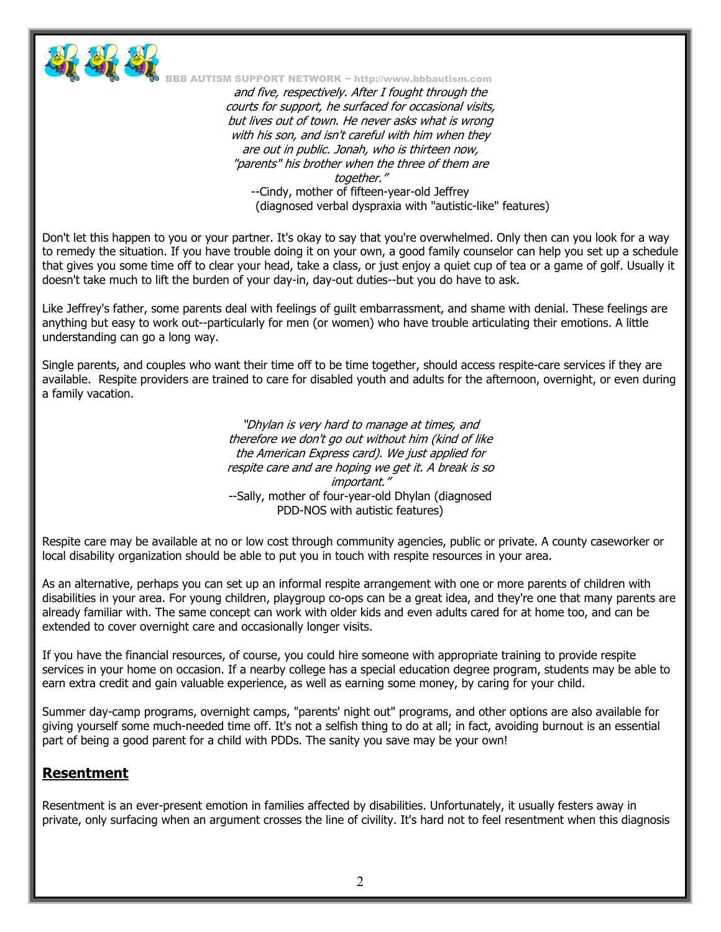

and five, respectively. After I fought through the courts for support, he surfaced for occasional visits, but lives out of town. He never asks what is wrong with his son, and isn't careful with him when they are out in public. Jonah, who is thirteen now, "parents" his brother when the three of them are together." --Cindy, mother of fifteen-year-old Jeffrey (diagnosed verbal dyspraxia with "autistic-like" features)

Don't let this happen to you or your partner. It's okay to say that you're overwhelmed. Only then can you look for a way to remedy the situation. If you have trouble doing it on your own, a good family counselor can help you set up a schedule that gives you some time off to clear your head, take a class, or just enjoy a quiet cup of tea or a game of golf. Usually it doesn't take much to lift the burden of your day-in, day-out duties--but you do have to ask.

Like Jeffrey's father, some parents deal with feelings of guilt embarrassment, and shame with denial. These feelings are anything but easy to work out--particularly for men (or women) who have trouble articulating their emotions. A little understanding can go a long way.

Single parents, and couples who want their time off to be time together, should access respite-care services if they are available. Respite providers are trained to care for disabled youth and adults for the afternoon, overnight, or even during a family vacation.

> "Dhylan is very hard to manage at times, and therefore we don't go out without him (kind of like the American Express card). We just applied for respite care and are hoping we get it. A break is so important." --Sally, mother of four-year-old Dhylan (diagnosed PDD-NOS with autistic features)

Respite care may be available at no or low cost through community agencies, public or private. A county caseworker or local disability organization should be able to put you in touch with respite resources in your area.

As an alternative, perhaps you can set up an informal respite arrangement with one or more parents of children with disabilities in your area. For young children, playgroup co-ops can be a great idea, and they're one that many parents are already familiar with. The same concept can work with older kids and even adults cared for at home too, and can be extended to cover overnight care and occasionally longer visits.

If you have the financial resources, of course, you could hire someone with appropriate training to provide respite services in your home on occasion. If a nearby college has a special education degree program, students may be able to earn extra credit and gain valuable experience, as well as earning some money, by caring for your child.

Summer day-camp programs, overnight camps, "parents' night out" programs, and other options are also available for giving yourself some much-needed time off. It's not a selfish thing to do at all; in fact, avoiding burnout is an essential part of being a good parent for a child with PDDs. The sanity you save may be your own!

### **Resentment**

Resentment is an ever-present emotion in families affected by disabilities. Unfortunately, it usually festers away in private, only surfacing when an argument crosses the line of civility. It's hard not to feel resentment when this diagnosis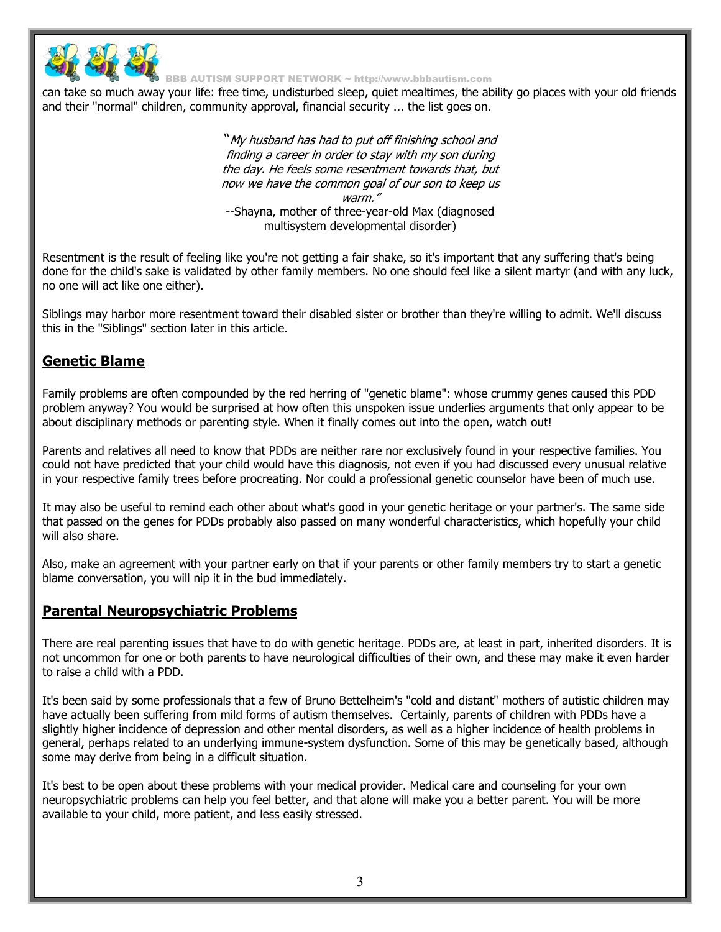

can take so much away your life: free time, undisturbed sleep, quiet mealtimes, the ability go places with your old friends and their "normal" children, community approval, financial security ... the list goes on.

> "My husband has had to put off finishing school and finding a career in order to stay with my son during the day. He feels some resentment towards that, but now we have the common goal of our son to keep us warm." --Shayna, mother of three-year-old Max (diagnosed multisystem developmental disorder)

Resentment is the result of feeling like you're not getting a fair shake, so it's important that any suffering that's being done for the child's sake is validated by other family members. No one should feel like a silent martyr (and with any luck, no one will act like one either).

Siblings may harbor more resentment toward their disabled sister or brother than they're willing to admit. We'll discuss this in the "Siblings" section later in this article.

# **Genetic Blame**

Family problems are often compounded by the red herring of "genetic blame": whose crummy genes caused this PDD problem anyway? You would be surprised at how often this unspoken issue underlies arguments that only appear to be about disciplinary methods or parenting style. When it finally comes out into the open, watch out!

Parents and relatives all need to know that PDDs are neither rare nor exclusively found in your respective families. You could not have predicted that your child would have this diagnosis, not even if you had discussed every unusual relative in your respective family trees before procreating. Nor could a professional genetic counselor have been of much use.

It may also be useful to remind each other about what's good in your genetic heritage or your partner's. The same side that passed on the genes for PDDs probably also passed on many wonderful characteristics, which hopefully your child will also share.

Also, make an agreement with your partner early on that if your parents or other family members try to start a genetic blame conversation, you will nip it in the bud immediately.

### **Parental Neuropsychiatric Problems**

There are real parenting issues that have to do with genetic heritage. PDDs are, at least in part, inherited disorders. It is not uncommon for one or both parents to have neurological difficulties of their own, and these may make it even harder to raise a child with a PDD.

It's been said by some professionals that a few of Bruno Bettelheim's "cold and distant" mothers of autistic children may have actually been suffering from mild forms of autism themselves. Certainly, parents of children with PDDs have a slightly higher incidence of depression and other mental disorders, as well as a higher incidence of health problems in general, perhaps related to an underlying immune-system dysfunction. Some of this may be genetically based, although some may derive from being in a difficult situation.

It's best to be open about these problems with your medical provider. Medical care and counseling for your own neuropsychiatric problems can help you feel better, and that alone will make you a better parent. You will be more available to your child, more patient, and less easily stressed.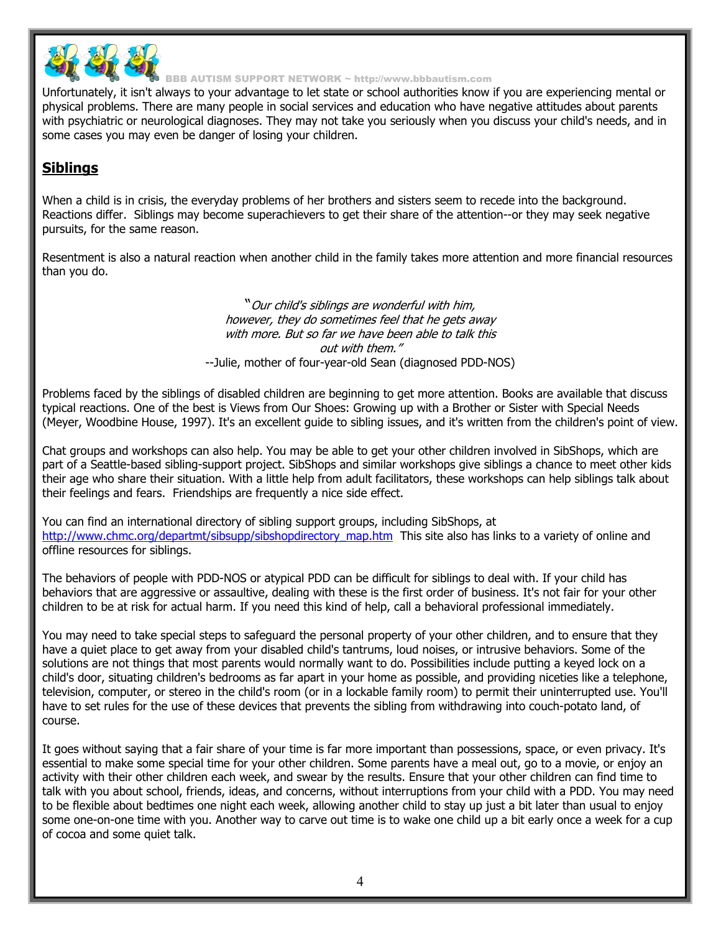

Unfortunately, it isn't always to your advantage to let state or school authorities know if you are experiencing mental or physical problems. There are many people in social services and education who have negative attitudes about parents with psychiatric or neurological diagnoses. They may not take you seriously when you discuss your child's needs, and in some cases you may even be danger of losing your children.

# **Siblings**

When a child is in crisis, the everyday problems of her brothers and sisters seem to recede into the background. Reactions differ. Siblings may become superachievers to get their share of the attention--or they may seek negative pursuits, for the same reason.

Resentment is also a natural reaction when another child in the family takes more attention and more financial resources than you do.

> "Our child's siblings are wonderful with him, however, they do sometimes feel that he gets away with more. But so far we have been able to talk this out with them." --Julie, mother of four-year-old Sean (diagnosed PDD-NOS)

Problems faced by the siblings of disabled children are beginning to get more attention. Books are available that discuss typical reactions. One of the best is Views from Our Shoes: Growing up with a Brother or Sister with Special Needs (Meyer, Woodbine House, 1997). It's an excellent guide to sibling issues, and it's written from the children's point of view.

Chat groups and workshops can also help. You may be able to get your other children involved in SibShops, which are part of a Seattle-based sibling-support project. SibShops and similar workshops give siblings a chance to meet other kids their age who share their situation. With a little help from adult facilitators, these workshops can help siblings talk about their feelings and fears. Friendships are frequently a nice side effect.

You can find an international directory of sibling support groups, including SibShops, at http://www.chmc.org/departmt/sibsupp/sibshopdirectory\_map.htm This site also has links to a variety of online and offline resources for siblings.

The behaviors of people with PDD-NOS or atypical PDD can be difficult for siblings to deal with. If your child has behaviors that are aggressive or assaultive, dealing with these is the first order of business. It's not fair for your other children to be at risk for actual harm. If you need this kind of help, call a behavioral professional immediately.

You may need to take special steps to safeguard the personal property of your other children, and to ensure that they have a quiet place to get away from your disabled child's tantrums, loud noises, or intrusive behaviors. Some of the solutions are not things that most parents would normally want to do. Possibilities include putting a keyed lock on a child's door, situating children's bedrooms as far apart in your home as possible, and providing niceties like a telephone, television, computer, or stereo in the child's room (or in a lockable family room) to permit their uninterrupted use. You'll have to set rules for the use of these devices that prevents the sibling from withdrawing into couch-potato land, of course.

It goes without saying that a fair share of your time is far more important than possessions, space, or even privacy. It's essential to make some special time for your other children. Some parents have a meal out, go to a movie, or enjoy an activity with their other children each week, and swear by the results. Ensure that your other children can find time to talk with you about school, friends, ideas, and concerns, without interruptions from your child with a PDD. You may need to be flexible about bedtimes one night each week, allowing another child to stay up just a bit later than usual to enjoy some one-on-one time with you. Another way to carve out time is to wake one child up a bit early once a week for a cup of cocoa and some quiet talk.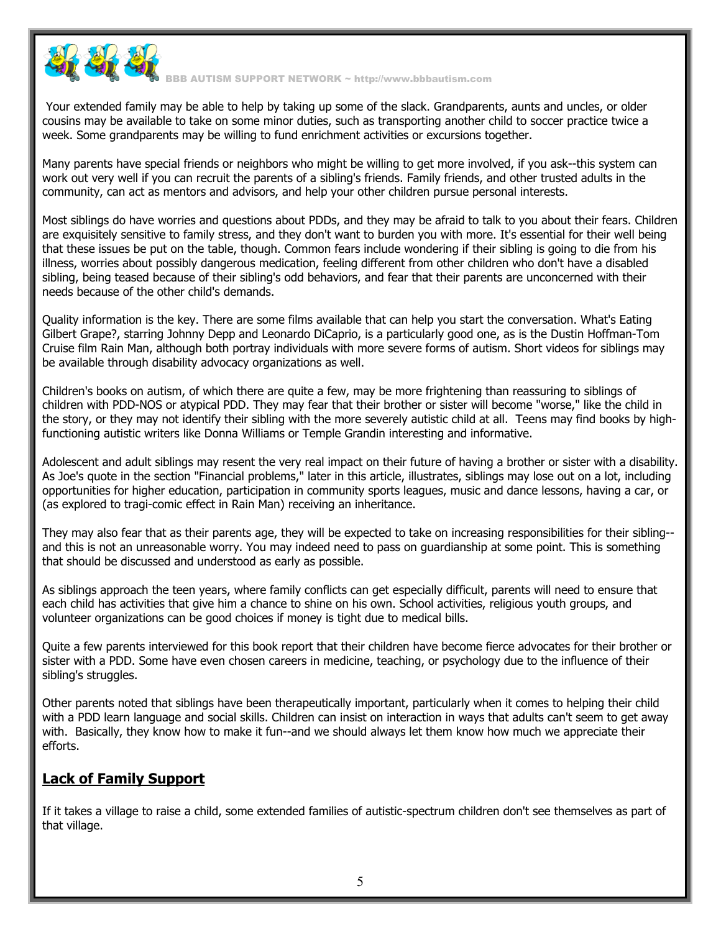

 Your extended family may be able to help by taking up some of the slack. Grandparents, aunts and uncles, or older cousins may be available to take on some minor duties, such as transporting another child to soccer practice twice a week. Some grandparents may be willing to fund enrichment activities or excursions together.

Many parents have special friends or neighbors who might be willing to get more involved, if you ask--this system can work out very well if you can recruit the parents of a sibling's friends. Family friends, and other trusted adults in the community, can act as mentors and advisors, and help your other children pursue personal interests.

Most siblings do have worries and questions about PDDs, and they may be afraid to talk to you about their fears. Children are exquisitely sensitive to family stress, and they don't want to burden you with more. It's essential for their well being that these issues be put on the table, though. Common fears include wondering if their sibling is going to die from his illness, worries about possibly dangerous medication, feeling different from other children who don't have a disabled sibling, being teased because of their sibling's odd behaviors, and fear that their parents are unconcerned with their needs because of the other child's demands.

Quality information is the key. There are some films available that can help you start the conversation. What's Eating Gilbert Grape?, starring Johnny Depp and Leonardo DiCaprio, is a particularly good one, as is the Dustin Hoffman-Tom Cruise film Rain Man, although both portray individuals with more severe forms of autism. Short videos for siblings may be available through disability advocacy organizations as well.

Children's books on autism, of which there are quite a few, may be more frightening than reassuring to siblings of children with PDD-NOS or atypical PDD. They may fear that their brother or sister will become "worse," like the child in the story, or they may not identify their sibling with the more severely autistic child at all. Teens may find books by highfunctioning autistic writers like Donna Williams or Temple Grandin interesting and informative.

Adolescent and adult siblings may resent the very real impact on their future of having a brother or sister with a disability. As Joe's quote in the section "Financial problems," later in this article, illustrates, siblings may lose out on a lot, including opportunities for higher education, participation in community sports leagues, music and dance lessons, having a car, or (as explored to tragi-comic effect in Rain Man) receiving an inheritance.

They may also fear that as their parents age, they will be expected to take on increasing responsibilities for their sibling- and this is not an unreasonable worry. You may indeed need to pass on guardianship at some point. This is something that should be discussed and understood as early as possible.

As siblings approach the teen years, where family conflicts can get especially difficult, parents will need to ensure that each child has activities that give him a chance to shine on his own. School activities, religious youth groups, and volunteer organizations can be good choices if money is tight due to medical bills.

Quite a few parents interviewed for this book report that their children have become fierce advocates for their brother or sister with a PDD. Some have even chosen careers in medicine, teaching, or psychology due to the influence of their sibling's struggles.

Other parents noted that siblings have been therapeutically important, particularly when it comes to helping their child with a PDD learn language and social skills. Children can insist on interaction in ways that adults can't seem to get away with. Basically, they know how to make it fun--and we should always let them know how much we appreciate their efforts.

## **Lack of Family Support**

If it takes a village to raise a child, some extended families of autistic-spectrum children don't see themselves as part of that village.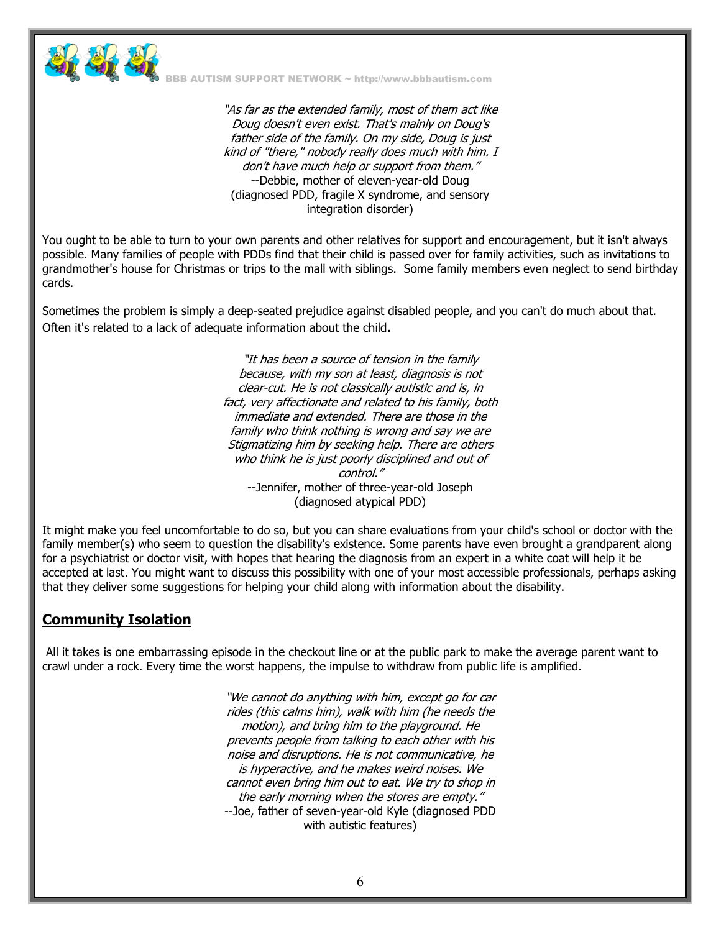

"As far as the extended family, most of them act like Doug doesn't even exist. That's mainly on Doug's father side of the family. On my side, Doug is just kind of "there," nobody really does much with him. I don't have much help or support from them." --Debbie, mother of eleven-year-old Doug (diagnosed PDD, fragile X syndrome, and sensory integration disorder)

You ought to be able to turn to your own parents and other relatives for support and encouragement, but it isn't always possible. Many families of people with PDDs find that their child is passed over for family activities, such as invitations to grandmother's house for Christmas or trips to the mall with siblings. Some family members even neglect to send birthday cards.

Sometimes the problem is simply a deep-seated prejudice against disabled people, and you can't do much about that. Often it's related to a lack of adequate information about the child.

> "It has been a source of tension in the family because, with my son at least, diagnosis is not clear-cut. He is not classically autistic and is, in fact, very affectionate and related to his family, both immediate and extended. There are those in the family who think nothing is wrong and say we are Stigmatizing him by seeking help. There are others who think he is just poorly disciplined and out of control." --Jennifer, mother of three-year-old Joseph (diagnosed atypical PDD)

It might make you feel uncomfortable to do so, but you can share evaluations from your child's school or doctor with the family member(s) who seem to question the disability's existence. Some parents have even brought a grandparent along for a psychiatrist or doctor visit, with hopes that hearing the diagnosis from an expert in a white coat will help it be accepted at last. You might want to discuss this possibility with one of your most accessible professionals, perhaps asking that they deliver some suggestions for helping your child along with information about the disability.

# **Community Isolation**

 All it takes is one embarrassing episode in the checkout line or at the public park to make the average parent want to crawl under a rock. Every time the worst happens, the impulse to withdraw from public life is amplified.

> "We cannot do anything with him, except go for car rides (this calms him), walk with him (he needs the motion), and bring him to the playground. He prevents people from talking to each other with his noise and disruptions. He is not communicative, he is hyperactive, and he makes weird noises. We cannot even bring him out to eat. We try to shop in the early morning when the stores are empty." --Joe, father of seven-year-old Kyle (diagnosed PDD with autistic features)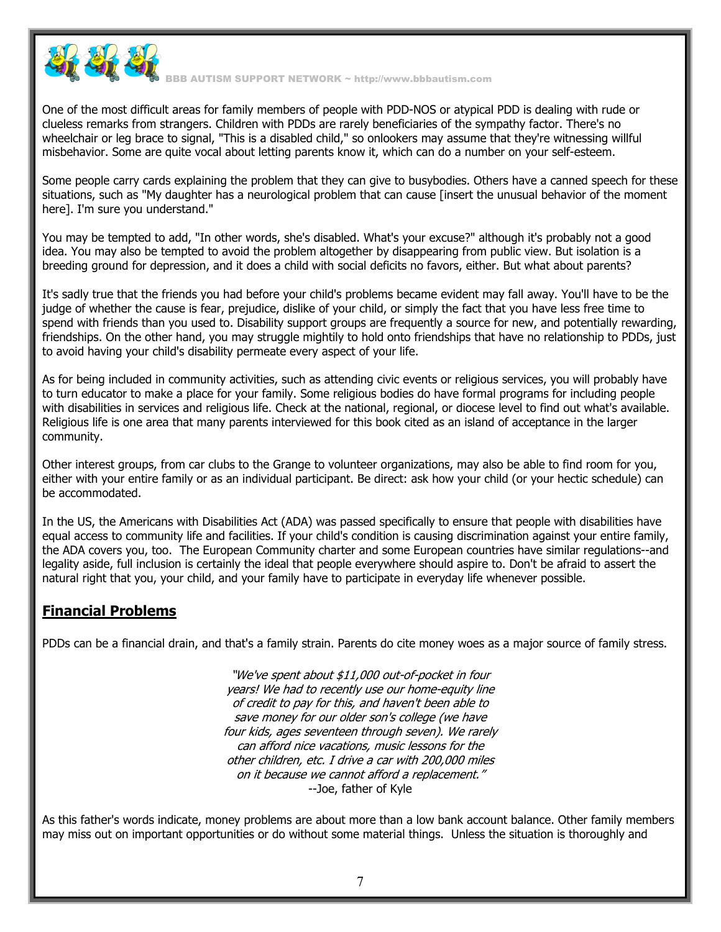

One of the most difficult areas for family members of people with PDD-NOS or atypical PDD is dealing with rude or clueless remarks from strangers. Children with PDDs are rarely beneficiaries of the sympathy factor. There's no wheelchair or leg brace to signal, "This is a disabled child," so onlookers may assume that they're witnessing willful misbehavior. Some are quite vocal about letting parents know it, which can do a number on your self-esteem.

Some people carry cards explaining the problem that they can give to busybodies. Others have a canned speech for these situations, such as "My daughter has a neurological problem that can cause [insert the unusual behavior of the moment here]. I'm sure you understand."

You may be tempted to add, "In other words, she's disabled. What's your excuse?" although it's probably not a good idea. You may also be tempted to avoid the problem altogether by disappearing from public view. But isolation is a breeding ground for depression, and it does a child with social deficits no favors, either. But what about parents?

It's sadly true that the friends you had before your child's problems became evident may fall away. You'll have to be the judge of whether the cause is fear, prejudice, dislike of your child, or simply the fact that you have less free time to spend with friends than you used to. Disability support groups are frequently a source for new, and potentially rewarding, friendships. On the other hand, you may struggle mightily to hold onto friendships that have no relationship to PDDs, just to avoid having your child's disability permeate every aspect of your life.

As for being included in community activities, such as attending civic events or religious services, you will probably have to turn educator to make a place for your family. Some religious bodies do have formal programs for including people with disabilities in services and religious life. Check at the national, regional, or diocese level to find out what's available. Religious life is one area that many parents interviewed for this book cited as an island of acceptance in the larger community.

Other interest groups, from car clubs to the Grange to volunteer organizations, may also be able to find room for you, either with your entire family or as an individual participant. Be direct: ask how your child (or your hectic schedule) can be accommodated.

In the US, the Americans with Disabilities Act (ADA) was passed specifically to ensure that people with disabilities have equal access to community life and facilities. If your child's condition is causing discrimination against your entire family, the ADA covers you, too. The European Community charter and some European countries have similar regulations--and legality aside, full inclusion is certainly the ideal that people everywhere should aspire to. Don't be afraid to assert the natural right that you, your child, and your family have to participate in everyday life whenever possible.

## **Financial Problems**

PDDs can be a financial drain, and that's a family strain. Parents do cite money woes as a major source of family stress.

"We've spent about \$11,000 out-of-pocket in four years! We had to recently use our home-equity line of credit to pay for this, and haven't been able to save money for our older son's college (we have four kids, ages seventeen through seven). We rarely can afford nice vacations, music lessons for the other children, etc. I drive a car with 200,000 miles on it because we cannot afford a replacement." --Joe, father of Kyle

As this father's words indicate, money problems are about more than a low bank account balance. Other family members may miss out on important opportunities or do without some material things. Unless the situation is thoroughly and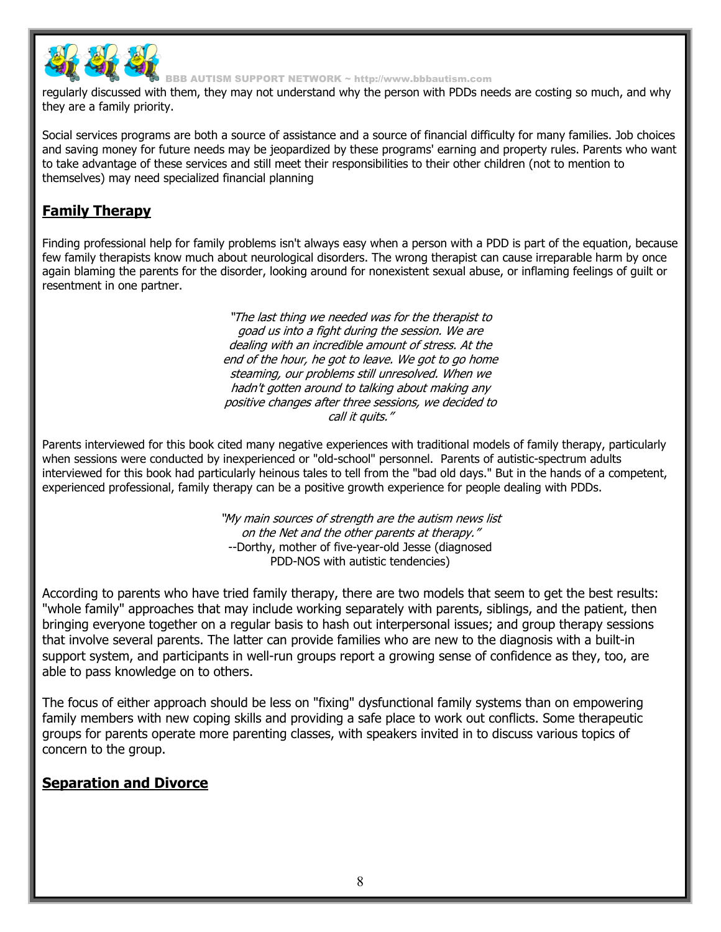

regularly discussed with them, they may not understand why the person with PDDs needs are costing so much, and why they are a family priority.

Social services programs are both a source of assistance and a source of financial difficulty for many families. Job choices and saving money for future needs may be jeopardized by these programs' earning and property rules. Parents who want to take advantage of these services and still meet their responsibilities to their other children (not to mention to themselves) may need specialized financial planning

# **Family Therapy**

Finding professional help for family problems isn't always easy when a person with a PDD is part of the equation, because few family therapists know much about neurological disorders. The wrong therapist can cause irreparable harm by once again blaming the parents for the disorder, looking around for nonexistent sexual abuse, or inflaming feelings of guilt or resentment in one partner.

> "The last thing we needed was for the therapist to goad us into a fight during the session. We are dealing with an incredible amount of stress. At the end of the hour, he got to leave. We got to go home steaming, our problems still unresolved. When we hadn't gotten around to talking about making any positive changes after three sessions, we decided to call it quits."

Parents interviewed for this book cited many negative experiences with traditional models of family therapy, particularly when sessions were conducted by inexperienced or "old-school" personnel. Parents of autistic-spectrum adults interviewed for this book had particularly heinous tales to tell from the "bad old days." But in the hands of a competent, experienced professional, family therapy can be a positive growth experience for people dealing with PDDs.

> "My main sources of strength are the autism news list on the Net and the other parents at therapy." --Dorthy, mother of five-year-old Jesse (diagnosed PDD-NOS with autistic tendencies)

According to parents who have tried family therapy, there are two models that seem to get the best results: "whole family" approaches that may include working separately with parents, siblings, and the patient, then bringing everyone together on a regular basis to hash out interpersonal issues; and group therapy sessions that involve several parents. The latter can provide families who are new to the diagnosis with a built-in support system, and participants in well-run groups report a growing sense of confidence as they, too, are able to pass knowledge on to others.

The focus of either approach should be less on "fixing" dysfunctional family systems than on empowering family members with new coping skills and providing a safe place to work out conflicts. Some therapeutic groups for parents operate more parenting classes, with speakers invited in to discuss various topics of concern to the group.

## **Separation and Divorce**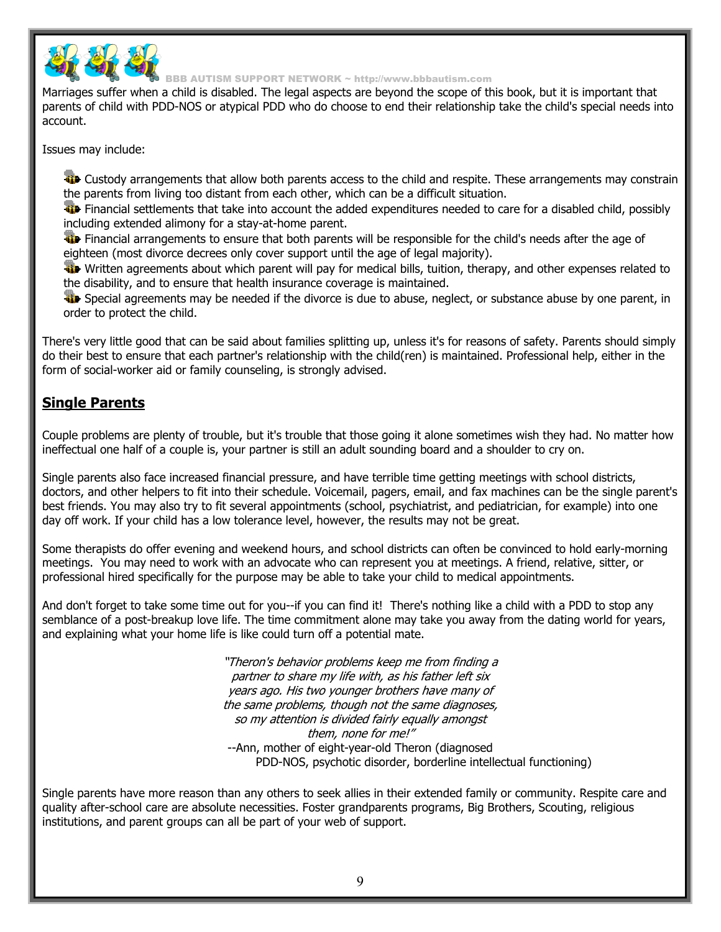![](_page_8_Picture_0.jpeg)

Marriages suffer when a child is disabled. The legal aspects are beyond the scope of this book, but it is important that parents of child with PDD-NOS or atypical PDD who do choose to end their relationship take the child's special needs into account.

Issues may include:

**ED** Custody arrangements that allow both parents access to the child and respite. These arrangements may constrain the parents from living too distant from each other, which can be a difficult situation.

 Financial settlements that take into account the added expenditures needed to care for a disabled child, possibly including extended alimony for a stay-at-home parent.

**Financial arrangements to ensure that both parents will be responsible for the child's needs after the age of** eighteen (most divorce decrees only cover support until the age of legal majority).

Written agreements about which parent will pay for medical bills, tuition, therapy, and other expenses related to the disability, and to ensure that health insurance coverage is maintained.

 Special agreements may be needed if the divorce is due to abuse, neglect, or substance abuse by one parent, in order to protect the child.

There's very little good that can be said about families splitting up, unless it's for reasons of safety. Parents should simply do their best to ensure that each partner's relationship with the child(ren) is maintained. Professional help, either in the form of social-worker aid or family counseling, is strongly advised.

# **Single Parents**

Couple problems are plenty of trouble, but it's trouble that those going it alone sometimes wish they had. No matter how ineffectual one half of a couple is, your partner is still an adult sounding board and a shoulder to cry on.

Single parents also face increased financial pressure, and have terrible time getting meetings with school districts, doctors, and other helpers to fit into their schedule. Voicemail, pagers, email, and fax machines can be the single parent's best friends. You may also try to fit several appointments (school, psychiatrist, and pediatrician, for example) into one day off work. If your child has a low tolerance level, however, the results may not be great.

Some therapists do offer evening and weekend hours, and school districts can often be convinced to hold early-morning meetings. You may need to work with an advocate who can represent you at meetings. A friend, relative, sitter, or professional hired specifically for the purpose may be able to take your child to medical appointments.

And don't forget to take some time out for you--if you can find it! There's nothing like a child with a PDD to stop any semblance of a post-breakup love life. The time commitment alone may take you away from the dating world for years, and explaining what your home life is like could turn off a potential mate.

> "Theron's behavior problems keep me from finding a partner to share my life with, as his father left six years ago. His two younger brothers have many of the same problems, though not the same diagnoses, so my attention is divided fairly equally amongst them, none for me!" --Ann, mother of eight-year-old Theron (diagnosed PDD-NOS, psychotic disorder, borderline intellectual functioning)

Single parents have more reason than any others to seek allies in their extended family or community. Respite care and quality after-school care are absolute necessities. Foster grandparents programs, Big Brothers, Scouting, religious institutions, and parent groups can all be part of your web of support.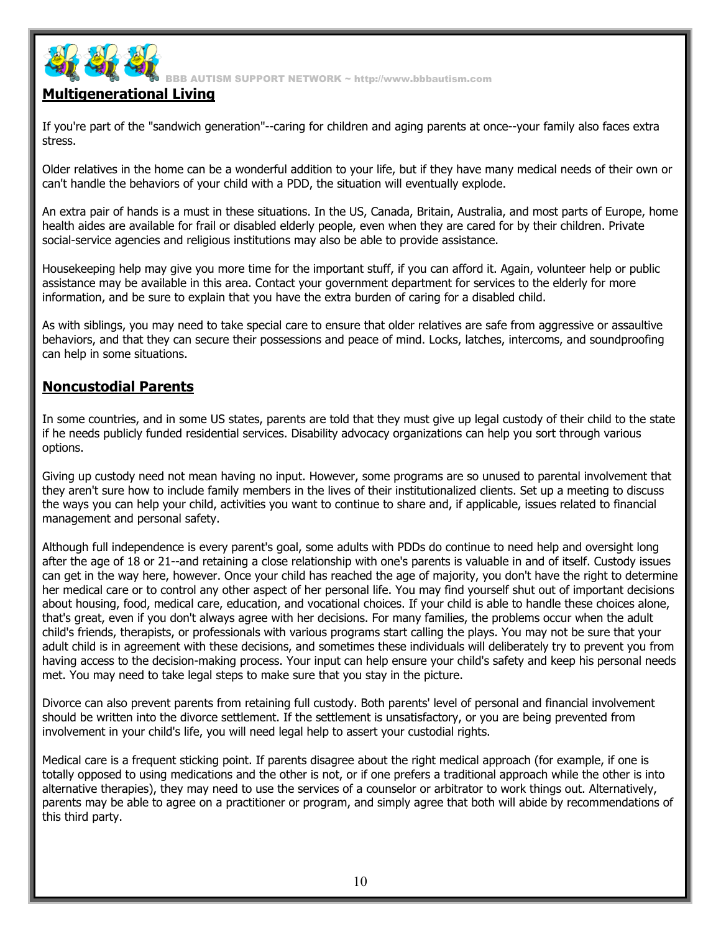![](_page_9_Picture_0.jpeg)

### **Multigenerational Living**

If you're part of the "sandwich generation"--caring for children and aging parents at once--your family also faces extra stress.

Older relatives in the home can be a wonderful addition to your life, but if they have many medical needs of their own or can't handle the behaviors of your child with a PDD, the situation will eventually explode.

An extra pair of hands is a must in these situations. In the US, Canada, Britain, Australia, and most parts of Europe, home health aides are available for frail or disabled elderly people, even when they are cared for by their children. Private social-service agencies and religious institutions may also be able to provide assistance.

Housekeeping help may give you more time for the important stuff, if you can afford it. Again, volunteer help or public assistance may be available in this area. Contact your government department for services to the elderly for more information, and be sure to explain that you have the extra burden of caring for a disabled child.

As with siblings, you may need to take special care to ensure that older relatives are safe from aggressive or assaultive behaviors, and that they can secure their possessions and peace of mind. Locks, latches, intercoms, and soundproofing can help in some situations.

### **Noncustodial Parents**

In some countries, and in some US states, parents are told that they must give up legal custody of their child to the state if he needs publicly funded residential services. Disability advocacy organizations can help you sort through various options.

Giving up custody need not mean having no input. However, some programs are so unused to parental involvement that they aren't sure how to include family members in the lives of their institutionalized clients. Set up a meeting to discuss the ways you can help your child, activities you want to continue to share and, if applicable, issues related to financial management and personal safety.

Although full independence is every parent's goal, some adults with PDDs do continue to need help and oversight long after the age of 18 or 21--and retaining a close relationship with one's parents is valuable in and of itself. Custody issues can get in the way here, however. Once your child has reached the age of majority, you don't have the right to determine her medical care or to control any other aspect of her personal life. You may find yourself shut out of important decisions about housing, food, medical care, education, and vocational choices. If your child is able to handle these choices alone, that's great, even if you don't always agree with her decisions. For many families, the problems occur when the adult child's friends, therapists, or professionals with various programs start calling the plays. You may not be sure that your adult child is in agreement with these decisions, and sometimes these individuals will deliberately try to prevent you from having access to the decision-making process. Your input can help ensure your child's safety and keep his personal needs met. You may need to take legal steps to make sure that you stay in the picture.

Divorce can also prevent parents from retaining full custody. Both parents' level of personal and financial involvement should be written into the divorce settlement. If the settlement is unsatisfactory, or you are being prevented from involvement in your child's life, you will need legal help to assert your custodial rights.

Medical care is a frequent sticking point. If parents disagree about the right medical approach (for example, if one is totally opposed to using medications and the other is not, or if one prefers a traditional approach while the other is into alternative therapies), they may need to use the services of a counselor or arbitrator to work things out. Alternatively, parents may be able to agree on a practitioner or program, and simply agree that both will abide by recommendations of this third party.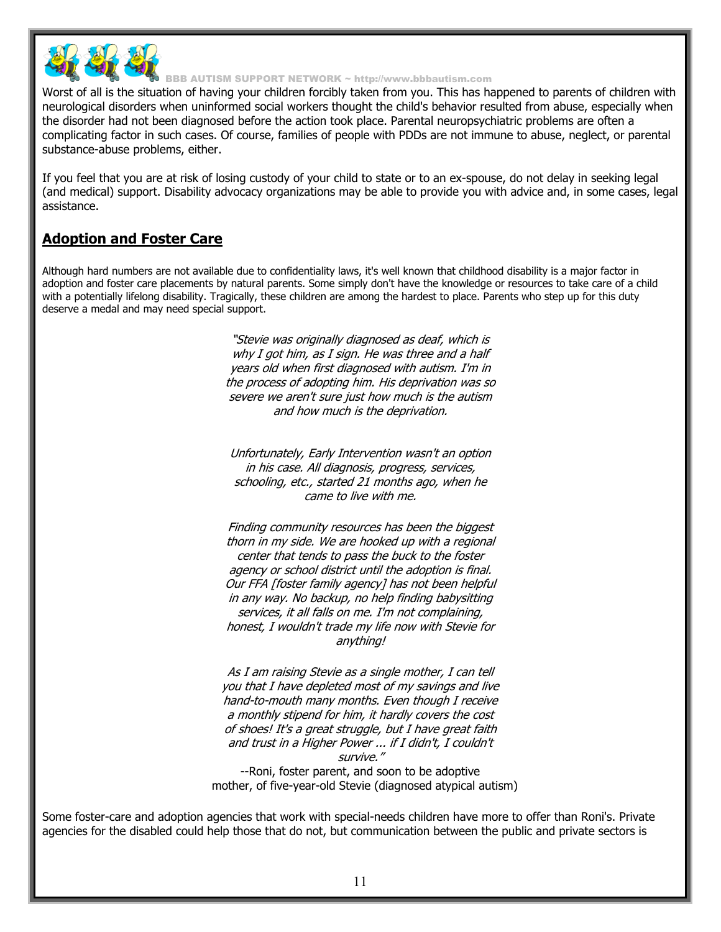![](_page_10_Picture_0.jpeg)

Worst of all is the situation of having your children forcibly taken from you. This has happened to parents of children with neurological disorders when uninformed social workers thought the child's behavior resulted from abuse, especially when the disorder had not been diagnosed before the action took place. Parental neuropsychiatric problems are often a complicating factor in such cases. Of course, families of people with PDDs are not immune to abuse, neglect, or parental substance-abuse problems, either.

If you feel that you are at risk of losing custody of your child to state or to an ex-spouse, do not delay in seeking legal (and medical) support. Disability advocacy organizations may be able to provide you with advice and, in some cases, legal assistance.

## **Adoption and Foster Care**

Although hard numbers are not available due to confidentiality laws, it's well known that childhood disability is a major factor in adoption and foster care placements by natural parents. Some simply don't have the knowledge or resources to take care of a child with a potentially lifelong disability. Tragically, these children are among the hardest to place. Parents who step up for this duty deserve a medal and may need special support.

> "Stevie was originally diagnosed as deaf, which is why I got him, as I sign. He was three and a half years old when first diagnosed with autism. I'm in the process of adopting him. His deprivation was so severe we aren't sure just how much is the autism and how much is the deprivation.

Unfortunately, Early Intervention wasn't an option in his case. All diagnosis, progress, services, schooling, etc., started 21 months ago, when he came to live with me.

Finding community resources has been the biggest thorn in my side. We are hooked up with a regional center that tends to pass the buck to the foster agency or school district until the adoption is final. Our FFA [foster family agency] has not been helpful in any way. No backup, no help finding babysitting services, it all falls on me. I'm not complaining, honest, I wouldn't trade my life now with Stevie for anything!

As I am raising Stevie as a single mother, I can tell you that I have depleted most of my savings and live hand-to-mouth many months. Even though I receive a monthly stipend for him, it hardly covers the cost of shoes! It's a great struggle, but I have great faith and trust in a Higher Power ... if I didn't, I couldn't survive."

--Roni, foster parent, and soon to be adoptive mother, of five-year-old Stevie (diagnosed atypical autism)

Some foster-care and adoption agencies that work with special-needs children have more to offer than Roni's. Private agencies for the disabled could help those that do not, but communication between the public and private sectors is